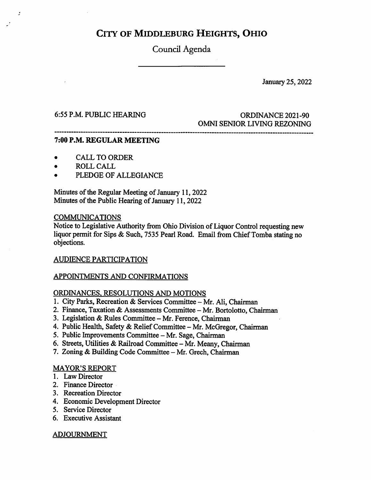## City of Middleburg Heights, Ohio

Council Agenda

January 25,2022

### 6:55 P.M. PUBLIC HEARING ORDINANCE 2021-90 OMNI SENIOR LIVING REZONING

#### 7:00 P.M. REGULAR MEETING

- CALL TO ORDER  $\bullet$
- ROLL CALL  $\bullet$

 $\cdot$ 

PLEDGE OF ALLEGIANCE  $\bullet$ 

Minutes of the Regular Meeting of January 11, 2022 Minutes of the Public Hearing of January 11,2022

#### COMMUNICATIONS

Notice to Legislative Authority from Ohio Division of Liquor Control requesting new liquor permit for Sips & Such, 7535 Pearl Road. Email from Chief Tomba stating no objections.

#### AUDIENCE PARTICIPATION

#### APPOINTMENTS AND CONFIRMATIONS

#### ORDINANCES. RESOLUTIONS AND MOTIONS

- 1. City Parks, Recreation & Services Committee Mr. Ali, Chairman
- 2. Finance, Taxation & Assessments Committee Mr. Bortolotto, Chairman
- 3. Legislation & Rules Committee Mr. Ference, Chairman
- 4. Public Health, Safety & Relief Committee Mr. McGregor, Chairman
- 5. Public Improvements Committee Mr. Sage, Chairman
- 6. Streets, Utilities & Railroad Committee Mr. Meany, Chairman
- 7. Zoning & Building Code Committee Mr. Grech, Chairman

#### MAYOR^S REPORT

- 1. Law Director
- 2. Finance Director
- 3. Recreation Director
- 4. Economic Development Director
- 5. Service Director
- 6. Executive Assistant

#### ADJOURNMENT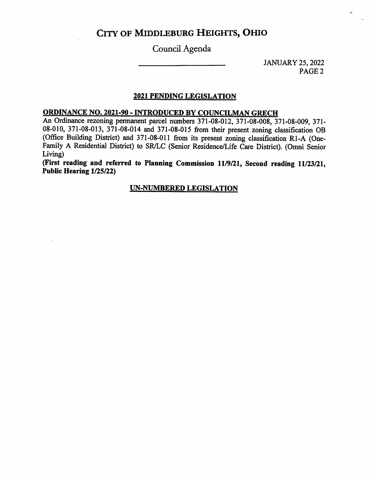### City of Middleburg Heights, Ohio

Council Agenda

JANUARY 25,2022 PAGE 2

#### 2021 PENDING LEGISLATION

#### ORDINANCE NO. 2021-90 - INTRODUCED BY COUNCILMAN GRECH

An Ordinance rezoning permanent parcel numbers 371-08-012, 371-08-008, 371-08-009, 371- 08-010, 371-08-013, 371-08-014 and 371-08-015 from their present zoning classification OB (Office Building District) and 371-08-011 from its present zoning classification R1-A (One-Family A Residential District) to SR/LC (Senior Residence/Life Care District). (Omni Senior Living)

(First reading and referred to Planning Commission 11/9/21, Second reading 11/23/21, Public Hearing 1/25/22)

#### UN-NUMBERED LEGISLATION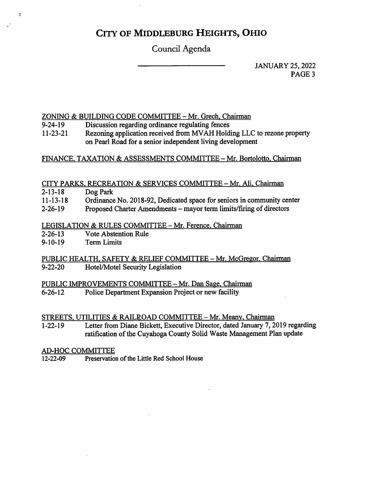### City of Middleburg Heights, Ohio

Council Agenda

JANUARY 25, 2022 PAGE<sub>3</sub>

#### ZONING & BUILDING CODE COMMITTEE - Mr. Grech, Chairman

- Discussion regarding ordinance regulating fences 9-24-19
- Rezoning application received from MVAH Holding LLC to rezone property on Pearl Road for a senior independent living development 11-23-21

#### FINANCE, TAXATION & ASSESSMENTS COMMITTEE - Mr. Bortolotto, Chairman

#### CITY PARKS, RECREATION & SERVICES COMMITTEE - Mr. Ali, Chairman

- 2-13-18 Dog Park
- 11-13-18 Ordinance No. 2018-92, Dedicated space for seniors in community center
- 2-26-19 Proposed Charter Amendments - mayor term limits/firing of directors

# LEGISLATION & RULES COMMITTEE - Mr. Ference, Chairman<br>2-26-13 Vote Abstention Rule

- Vote Abstention Rule
- 9-10-19 Term Limits

#### PUBLIC HEALTH, SAFETY & RELIEF COMMITTEE - Mr. McGregor, Chairman<br>9-22-20 Hotel/Motel Security Legislation Hotel/Motel Security Legislation

# PUBLIC IMPROVEMENTS COMMITTEE - Mr. Dan Sage, Chairman<br>6-26-12 Police Department Expansion Project or new facility

Police Department Expansion Project or new facility

STREETS, UTILITIES & RAILROAD COMMITTEE - Mr. Meany, Chairman

Letter from Diane Bickett, Executive Director, dated January 7, 2019 regarding ratification of the Cuyahoga County Solid Waste Management Plan update 1-22-19

# AD-HOC COMMITTEE<br>12-22-09 Preservation

Preservation of the Little Red School House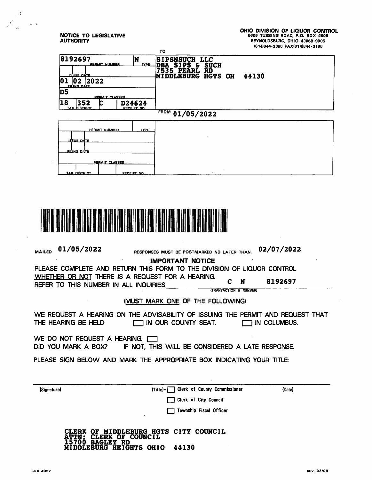NOTICE TO LEGISLATIVE **AUTHORITY** 

 $\mathcal{L}$ 

 $\bullet$ 

 $\sim$ 

 $\sim$   $\sim$ 

 $\mathcal{L}$ 

|                                                                     | TO                                                                          |  |
|---------------------------------------------------------------------|-----------------------------------------------------------------------------|--|
| 8192697<br>N)<br>PERMIT NUMBER<br><b>TYPE</b>                       | <b>SIPSNSUCH LLC</b><br>DBA SIPS & SUCH<br>7535 PEARL RD<br>MIDDLEBURG HGTS |  |
| <b>ISSUE DATE</b><br>2022<br>IO 1<br>102<br>FILING DATE             | RD<br>HGTS OH<br>44130                                                      |  |
| D <sub>5</sub><br><b>PERMIT CLASSES</b>                             |                                                                             |  |
| 18<br>352<br>D24624<br><b>DISTRICT</b><br><b>TAX</b><br>RECEIPT NO. |                                                                             |  |
| FROM 01/05/2022                                                     |                                                                             |  |
| PERMIT NUMBER<br><b>TYPE</b>                                        |                                                                             |  |
| <b>ISSUE DATE</b>                                                   |                                                                             |  |
| <u>FILING DATE</u>                                                  |                                                                             |  |
| PERMIT CLASSES                                                      |                                                                             |  |
| <b>TAX DISTRICT</b><br><b>RECEIPT NO.</b>                           |                                                                             |  |



| RESPONSES MUST BE POSTMARKED NO LATER THAN.                                                                   | 02/07/2022                                                                                                                                           |  |  |
|---------------------------------------------------------------------------------------------------------------|------------------------------------------------------------------------------------------------------------------------------------------------------|--|--|
| PLEASE COMPLETE AND RETURN THIS FORM TO THE DIVISION OF LIQUOR CONTROL                                        |                                                                                                                                                      |  |  |
| WHETHER OR NOT THERE IS A REQUEST FOR A HEARING.<br>REFER TO THIS NUMBER IN ALL INQUIRIES                     | N<br>8192697<br><b>(TRANSACTION &amp; NUMBER)</b>                                                                                                    |  |  |
| <b>IMUST MARK ONE OF THE FOLLOWING)</b>                                                                       |                                                                                                                                                      |  |  |
| WE REQUEST A HEARING ON THE ADVISABILITY OF ISSUING THE PERMIT AND REQUEST THAT<br>$\Box$ in our county seat. | IN COLUMBUS.                                                                                                                                         |  |  |
| WE DO NOT REQUEST A HEARING. I<br>DID YOU MARK A BOX? IF NOT, THIS WILL BE CONSIDERED A LATE RESPONSE.        |                                                                                                                                                      |  |  |
| PLEASE SIGN BELOW AND MARK THE APPROPRIATE BOX INDICATING YOUR TITLE:                                         |                                                                                                                                                      |  |  |
|                                                                                                               |                                                                                                                                                      |  |  |
|                                                                                                               | (Date)                                                                                                                                               |  |  |
|                                                                                                               |                                                                                                                                                      |  |  |
|                                                                                                               |                                                                                                                                                      |  |  |
| MIDDLEBURG HGTS CITY COUNCIL<br><b>ERK OF COUNCIL</b><br>HEIGHTS OHIO<br>44130<br>RG                          |                                                                                                                                                      |  |  |
|                                                                                                               | <b>IMPORTANT NOTICE</b><br><b>Clerk of County Commissioner</b><br>$\text{Title}$ - $\Box$<br><b>Clerk of City Council</b><br>Township Fiscal Officer |  |  |